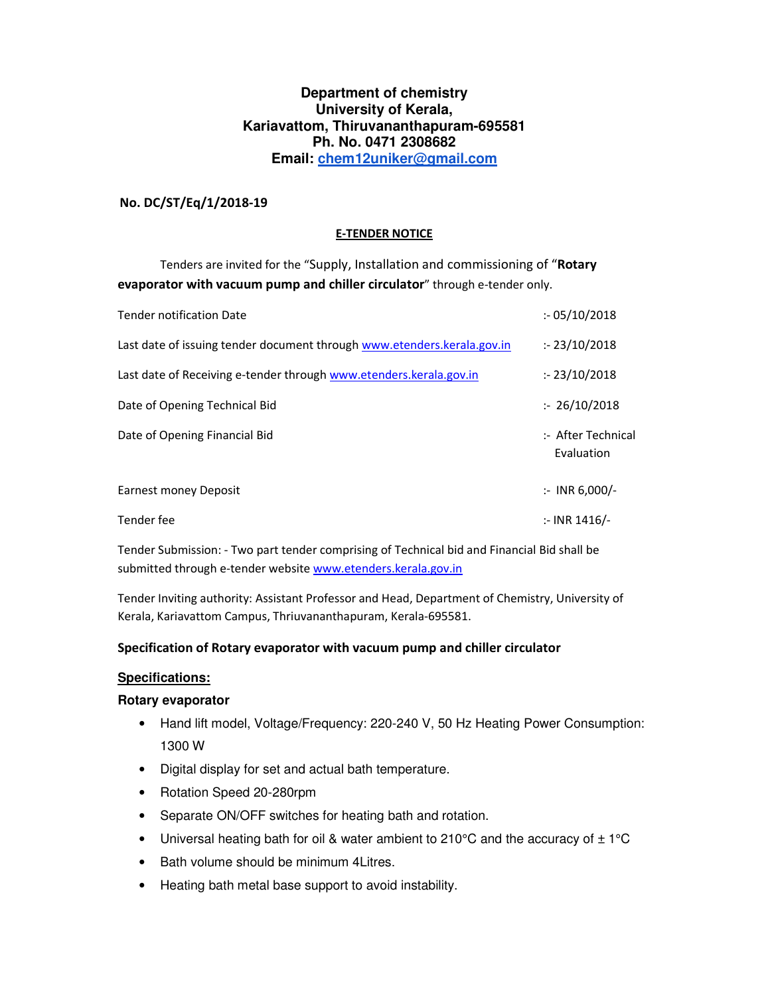## **Department of chemistry University of Kerala, Kariavattom, Thiruvananthapuram-695581 Ph. No. 0471 2308682 Email: chem12uniker@gmail.com**

### **No. DC/ST/Eq/1/2018-19**

#### **E-TENDER NOTICE**

 Tenders are invited for the "Supply, Installation and commissioning of "**Rotary evaporator with vacuum pump and chiller circulator**" through e-tender only.

| <b>Tender notification Date</b>                                         | : 05/10/2018                     |
|-------------------------------------------------------------------------|----------------------------------|
| Last date of issuing tender document through www.etenders.kerala.gov.in | : 23/10/2018                     |
| Last date of Receiving e-tender through www.etenders.kerala.gov.in      | : 23/10/2018                     |
| Date of Opening Technical Bid                                           | : 26/10/2018                     |
| Date of Opening Financial Bid                                           | :- After Technical<br>Evaluation |
| Earnest money Deposit                                                   | $\therefore$ INR 6,000/-         |
| Tender fee                                                              | $:$ INR 1416/-                   |

Tender Submission: - Two part tender comprising of Technical bid and Financial Bid shall be submitted through e-tender website www.etenders.kerala.gov.in

Tender Inviting authority: Assistant Professor and Head, Department of Chemistry, University of Kerala, Kariavattom Campus, Thriuvananthapuram, Kerala-695581.

#### **Specification of Rotary evaporator with vacuum pump and chiller circulator**

## **Specifications:**

#### **Rotary evaporator**

- Hand lift model, Voltage/Frequency: 220-240 V, 50 Hz Heating Power Consumption: 1300 W
- Digital display for set and actual bath temperature.
- Rotation Speed 20-280rpm
- Separate ON/OFF switches for heating bath and rotation.
- Universal heating bath for oil & water ambient to 210°C and the accuracy of  $\pm$  1°C
- Bath volume should be minimum 4Litres.
- Heating bath metal base support to avoid instability.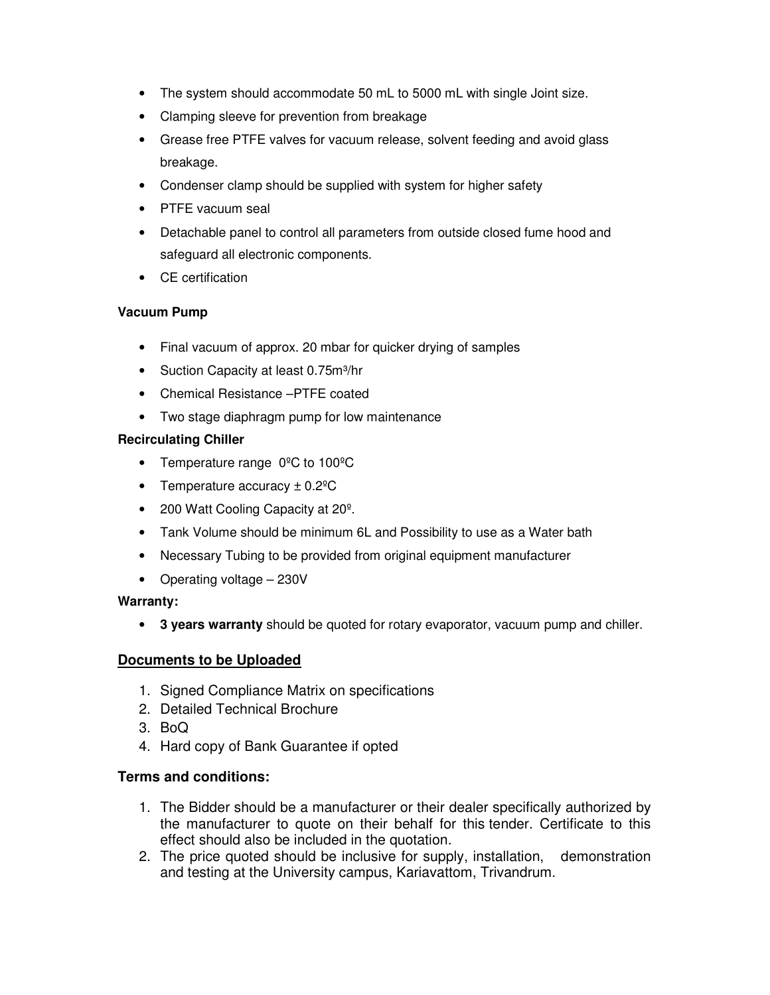- The system should accommodate 50 mL to 5000 mL with single Joint size.
- Clamping sleeve for prevention from breakage
- Grease free PTFE valves for vacuum release, solvent feeding and avoid glass breakage.
- Condenser clamp should be supplied with system for higher safety
- PTFE vacuum seal
- Detachable panel to control all parameters from outside closed fume hood and safeguard all electronic components.
- CE certification

## **Vacuum Pump**

- Final vacuum of approx. 20 mbar for quicker drying of samples
- Suction Capacity at least 0.75m<sup>3</sup>/hr
- Chemical Resistance –PTFE coated
- Two stage diaphragm pump for low maintenance

# **Recirculating Chiller**

- Temperature range 0°C to 100°C
- Temperature accuracy  $\pm$  0.2<sup>o</sup>C
- 200 Watt Cooling Capacity at 20<sup>°</sup>.
- Tank Volume should be minimum 6L and Possibility to use as a Water bath
- Necessary Tubing to be provided from original equipment manufacturer
- Operating voltage 230V

# **Warranty:**

• **3 years warranty** should be quoted for rotary evaporator, vacuum pump and chiller.

# **Documents to be Uploaded**

- 1. Signed Compliance Matrix on specifications
- 2. Detailed Technical Brochure
- 3. BoQ
- 4. Hard copy of Bank Guarantee if opted

# **Terms and conditions:**

- 1. The Bidder should be a manufacturer or their dealer specifically authorized by the manufacturer to quote on their behalf for this tender. Certificate to this effect should also be included in the quotation.
- 2. The price quoted should be inclusive for supply, installation, demonstration and testing at the University campus, Kariavattom, Trivandrum.